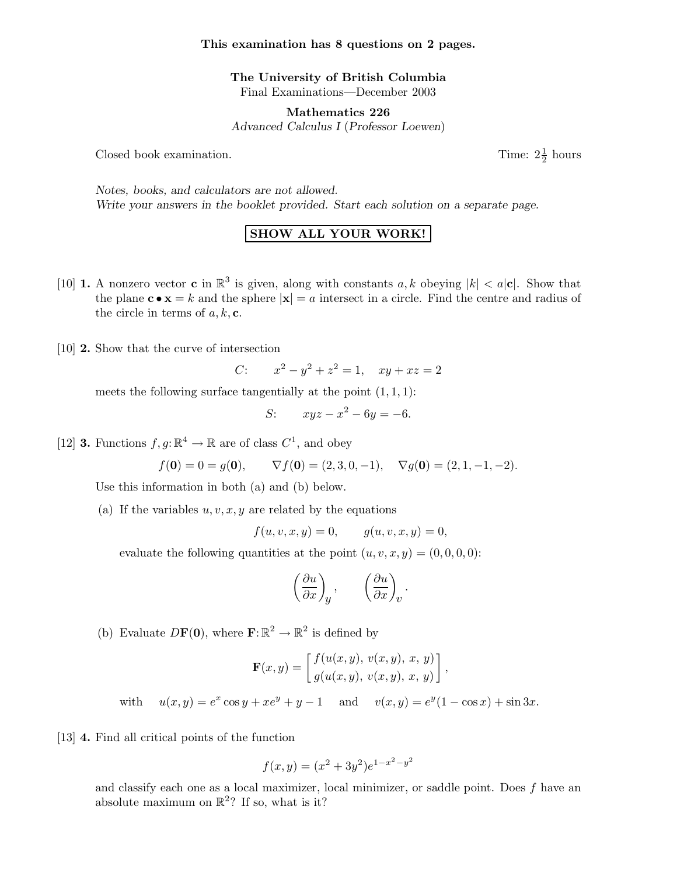## This examination has 8 questions on 2 pages.

The University of British Columbia Final Examinations—December 2003

Mathematics 226 Advanced Calculus I (Professor Loewen)

Closed book examination.

 $\frac{1}{2}$  hours

Notes, books, and calculators are not allowed. Write your answers in the booklet provided. Start each solution on a separate page.

## SHOW ALL YOUR WORK!

- [10] **1.** A nonzero vector **c** in  $\mathbb{R}^3$  is given, along with constants a, k obeying  $|k| < a|\mathbf{c}|$ . Show that the plane  $\mathbf{c} \cdot \mathbf{x} = k$  and the sphere  $|\mathbf{x}| = a$  intersect in a circle. Find the centre and radius of the circle in terms of  $a, k, c$ .
- [10] 2. Show that the curve of intersection

C: 
$$
x^2 - y^2 + z^2 = 1
$$
,  $xy + xz = 2$ 

meets the following surface tangentially at the point  $(1, 1, 1)$ :

$$
S: \qquad xyz - x^2 - 6y = -6.
$$

[12] **3.** Functions  $f, g: \mathbb{R}^4 \to \mathbb{R}$  are of class  $C^1$ , and obey

$$
f(\mathbf{0}) = 0 = g(\mathbf{0}), \qquad \nabla f(\mathbf{0}) = (2, 3, 0, -1), \quad \nabla g(\mathbf{0}) = (2, 1, -1, -2).
$$

Use this information in both (a) and (b) below.

(a) If the variables  $u, v, x, y$  are related by the equations

$$
f(u, v, x, y) = 0, \t g(u, v, x, y) = 0,
$$

evaluate the following quantities at the point  $(u, v, x, y) = (0, 0, 0, 0)$ :

$$
\left(\frac{\partial u}{\partial x}\right)_y, \qquad \left(\frac{\partial u}{\partial x}\right)_v
$$

.

(b) Evaluate  $DF(0)$ , where  $\mathbf{F}:\mathbb{R}^2 \to \mathbb{R}^2$  is defined by

$$
\mathbf{F}(x,y) = \begin{bmatrix} f(u(x,y), v(x,y), x, y) \\ g(u(x,y), v(x,y), x, y) \end{bmatrix},
$$

with  $u(x,y) = e^x \cos y + xe^y + y - 1$  and  $v(x,y) = e^y(1 - \cos x) + \sin 3x$ .

[13] 4. Find all critical points of the function

$$
f(x,y) = (x^2 + 3y^2)e^{1-x^2-y^2}
$$

and classify each one as a local maximizer, local minimizer, or saddle point. Does  $f$  have an absolute maximum on  $\mathbb{R}^2$ ? If so, what is it?